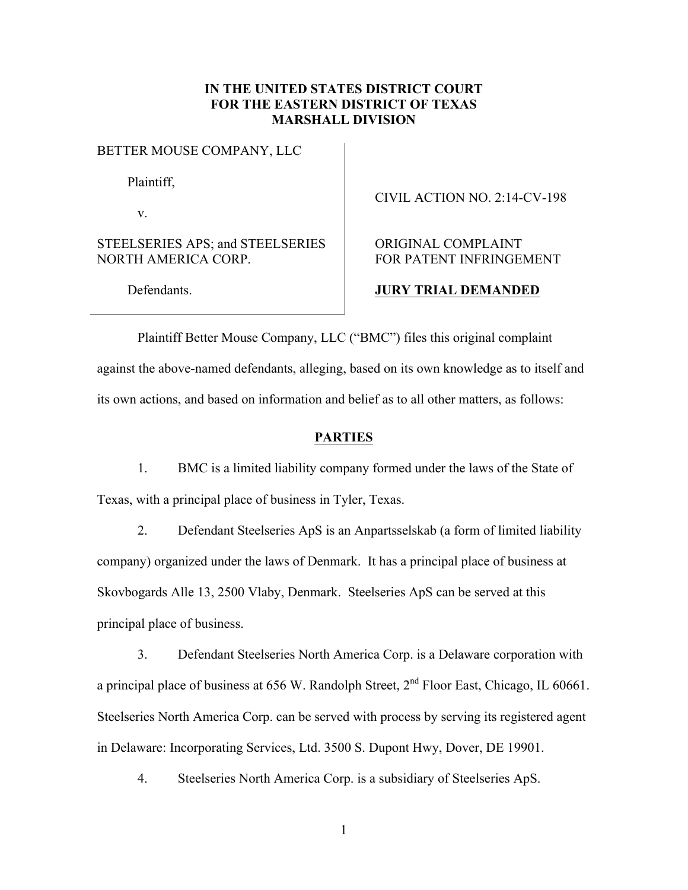# **IN THE UNITED STATES DISTRICT COURT FOR THE EASTERN DISTRICT OF TEXAS MARSHALL DIVISION**

BETTER MOUSE COMPANY, LLC

Plaintiff,

v.

STEELSERIES APS; and STEELSERIES NORTH AMERICA CORP.

CIVIL ACTION NO. 2:14-CV-198

# ORIGINAL COMPLAINT FOR PATENT INFRINGEMENT

Defendants.

## **JURY TRIAL DEMANDED**

Plaintiff Better Mouse Company, LLC ("BMC") files this original complaint against the above-named defendants, alleging, based on its own knowledge as to itself and its own actions, and based on information and belief as to all other matters, as follows:

## **PARTIES**

1. BMC is a limited liability company formed under the laws of the State of Texas, with a principal place of business in Tyler, Texas.

2. Defendant Steelseries ApS is an Anpartsselskab (a form of limited liability company) organized under the laws of Denmark. It has a principal place of business at Skovbogards Alle 13, 2500 Vlaby, Denmark. Steelseries ApS can be served at this principal place of business.

3. Defendant Steelseries North America Corp. is a Delaware corporation with a principal place of business at  $656$  W. Randolph Street,  $2<sup>nd</sup>$  Floor East, Chicago, IL 60661. Steelseries North America Corp. can be served with process by serving its registered agent in Delaware: Incorporating Services, Ltd. 3500 S. Dupont Hwy, Dover, DE 19901.

4. Steelseries North America Corp. is a subsidiary of Steelseries ApS.

1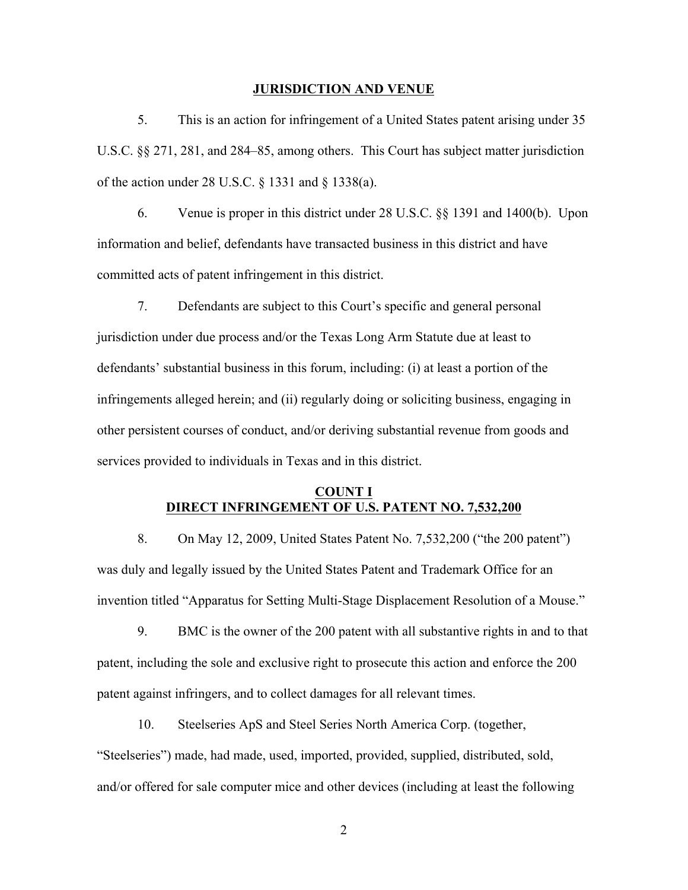#### **JURISDICTION AND VENUE**

5. This is an action for infringement of a United States patent arising under 35 U.S.C. §§ 271, 281, and 284–85, among others. This Court has subject matter jurisdiction of the action under 28 U.S.C. § 1331 and § 1338(a).

6. Venue is proper in this district under 28 U.S.C. §§ 1391 and 1400(b). Upon information and belief, defendants have transacted business in this district and have committed acts of patent infringement in this district.

7. Defendants are subject to this Court's specific and general personal jurisdiction under due process and/or the Texas Long Arm Statute due at least to defendants' substantial business in this forum, including: (i) at least a portion of the infringements alleged herein; and (ii) regularly doing or soliciting business, engaging in other persistent courses of conduct, and/or deriving substantial revenue from goods and services provided to individuals in Texas and in this district.

## **COUNT I DIRECT INFRINGEMENT OF U.S. PATENT NO. 7,532,200**

8. On May 12, 2009, United States Patent No. 7,532,200 ("the 200 patent") was duly and legally issued by the United States Patent and Trademark Office for an invention titled "Apparatus for Setting Multi-Stage Displacement Resolution of a Mouse."

9. BMC is the owner of the 200 patent with all substantive rights in and to that patent, including the sole and exclusive right to prosecute this action and enforce the 200 patent against infringers, and to collect damages for all relevant times.

10. Steelseries ApS and Steel Series North America Corp. (together, "Steelseries") made, had made, used, imported, provided, supplied, distributed, sold, and/or offered for sale computer mice and other devices (including at least the following

2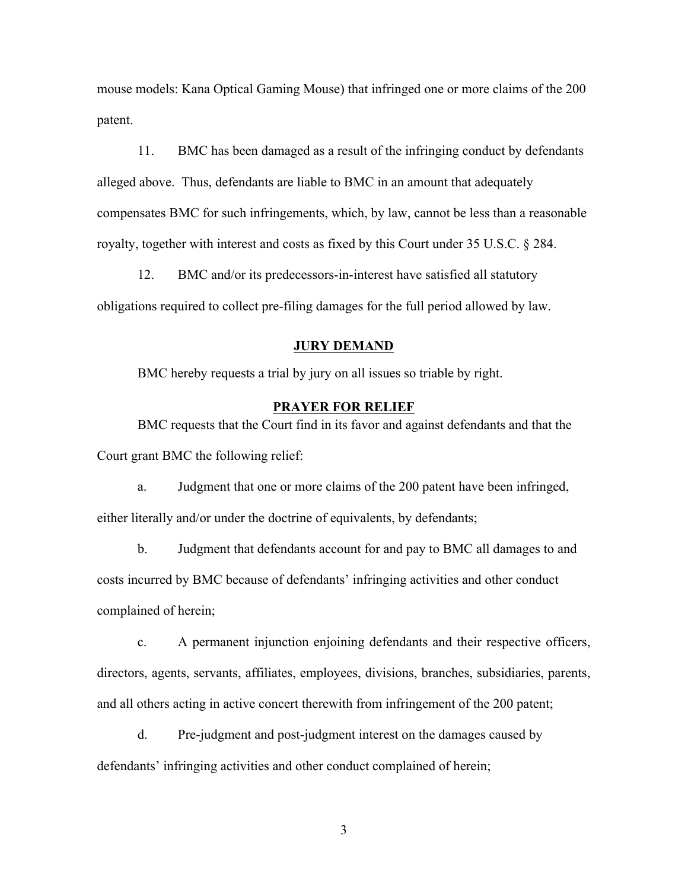mouse models: Kana Optical Gaming Mouse) that infringed one or more claims of the 200 patent.

11. BMC has been damaged as a result of the infringing conduct by defendants alleged above. Thus, defendants are liable to BMC in an amount that adequately compensates BMC for such infringements, which, by law, cannot be less than a reasonable royalty, together with interest and costs as fixed by this Court under 35 U.S.C. § 284.

12. BMC and/or its predecessors-in-interest have satisfied all statutory obligations required to collect pre-filing damages for the full period allowed by law.

### **JURY DEMAND**

BMC hereby requests a trial by jury on all issues so triable by right.

### **PRAYER FOR RELIEF**

BMC requests that the Court find in its favor and against defendants and that the Court grant BMC the following relief:

a. Judgment that one or more claims of the 200 patent have been infringed, either literally and/or under the doctrine of equivalents, by defendants;

b. Judgment that defendants account for and pay to BMC all damages to and costs incurred by BMC because of defendants' infringing activities and other conduct complained of herein;

c. A permanent injunction enjoining defendants and their respective officers, directors, agents, servants, affiliates, employees, divisions, branches, subsidiaries, parents, and all others acting in active concert therewith from infringement of the 200 patent;

d. Pre-judgment and post-judgment interest on the damages caused by defendants' infringing activities and other conduct complained of herein;

3